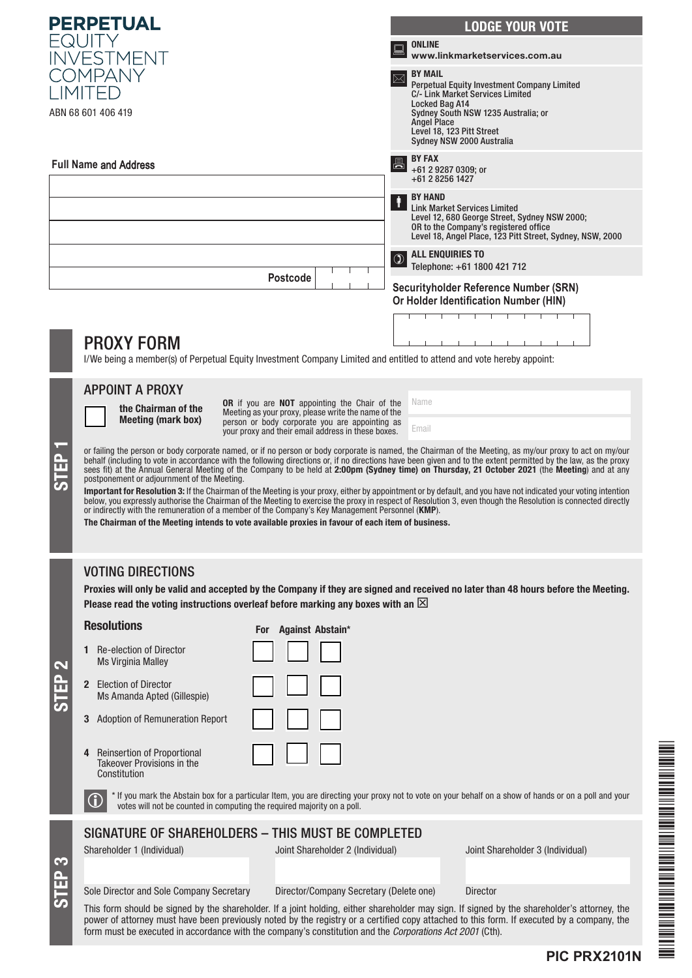| <b>PERPETUAL</b>                                                                                                      |                                                                                                                                                                                                                                                                                                                                                                                                                                                                                | <b>LODGE YOUR VOTE</b>                                                                             |
|-----------------------------------------------------------------------------------------------------------------------|--------------------------------------------------------------------------------------------------------------------------------------------------------------------------------------------------------------------------------------------------------------------------------------------------------------------------------------------------------------------------------------------------------------------------------------------------------------------------------|----------------------------------------------------------------------------------------------------|
|                                                                                                                       |                                                                                                                                                                                                                                                                                                                                                                                                                                                                                | <b>ONLINE</b>                                                                                      |
|                                                                                                                       | NVESTMENT                                                                                                                                                                                                                                                                                                                                                                                                                                                                      | www.linkmarketservices.com.au<br><b>BY MAIL</b>                                                    |
| OMPANY                                                                                                                |                                                                                                                                                                                                                                                                                                                                                                                                                                                                                | Perpetual Equity Investment Company Limited<br>C/- Link Market Services Limited                    |
|                                                                                                                       | ABN 68 601 406 419                                                                                                                                                                                                                                                                                                                                                                                                                                                             | Locked Bag A14<br>Sydney South NSW 1235 Australia; or                                              |
|                                                                                                                       |                                                                                                                                                                                                                                                                                                                                                                                                                                                                                | <b>Angel Place</b><br>Level 18, 123 Pitt Street                                                    |
|                                                                                                                       |                                                                                                                                                                                                                                                                                                                                                                                                                                                                                | Sydney NSW 2000 Australia<br><b>BY FAX</b>                                                         |
| <b>Full Name and Address</b>                                                                                          |                                                                                                                                                                                                                                                                                                                                                                                                                                                                                | 昌<br>+61 2 9287 0309; or<br>+61 2 8256 1427                                                        |
|                                                                                                                       |                                                                                                                                                                                                                                                                                                                                                                                                                                                                                | <b>BY HAND</b>                                                                                     |
|                                                                                                                       |                                                                                                                                                                                                                                                                                                                                                                                                                                                                                | <b>Link Market Services Limited</b><br>Level 12, 680 George Street, Sydney NSW 2000;               |
|                                                                                                                       |                                                                                                                                                                                                                                                                                                                                                                                                                                                                                | OR to the Company's registered office<br>Level 18, Angel Place, 123 Pitt Street, Sydney, NSW, 2000 |
|                                                                                                                       |                                                                                                                                                                                                                                                                                                                                                                                                                                                                                | <b>ALL ENQUIRIES TO</b><br>Telephone: +61 1800 421 712                                             |
|                                                                                                                       | <b>Postcode</b>                                                                                                                                                                                                                                                                                                                                                                                                                                                                | Securityholder Reference Number (SRN)                                                              |
|                                                                                                                       |                                                                                                                                                                                                                                                                                                                                                                                                                                                                                | Or Holder Identification Number (HIN)                                                              |
|                                                                                                                       |                                                                                                                                                                                                                                                                                                                                                                                                                                                                                |                                                                                                    |
|                                                                                                                       | <b>PROXY FORM</b>                                                                                                                                                                                                                                                                                                                                                                                                                                                              |                                                                                                    |
| I/We being a member(s) of Perpetual Equity Investment Company Limited and entitled to attend and vote hereby appoint: |                                                                                                                                                                                                                                                                                                                                                                                                                                                                                |                                                                                                    |
|                                                                                                                       | <b>APPOINT A PROXY</b><br>OR if you are NOT appointing the Chair of the                                                                                                                                                                                                                                                                                                                                                                                                        | Name                                                                                               |
|                                                                                                                       | the Chairman of the<br>Meeting as your proxy, please write the name of the<br><b>Meeting (mark box)</b><br>person or body corporate you are appointing as                                                                                                                                                                                                                                                                                                                      |                                                                                                    |
|                                                                                                                       | your proxy and their email address in these boxes.                                                                                                                                                                                                                                                                                                                                                                                                                             | Email                                                                                              |
|                                                                                                                       | or failing the person or body corporate named, or if no person or body corporate is named, the Chairman of the Meeting, as my/our proxy to act on my/our<br>behalf (including to vote in accordance with the following directions or, if no directions have been given and to the extent permitted by the law, as the proxy<br>sees fit) at the Annual General Meeting of the Company to be held at 2:00pm (Sydney time) on Thursday, 21 October 2021 (the Meeting) and at any |                                                                                                    |
| <u>ნ</u>                                                                                                              | postponement or adjournment of the Meeting.<br>Important for Resolution 3: If the Chairman of the Meeting is your proxy, either by appointment or by default, and you have not indicated your voting intention                                                                                                                                                                                                                                                                 |                                                                                                    |
|                                                                                                                       | below, you expressly authorise the Chairman of the Meeting to exercise the proxy in respect of Resolution 3, even though the Resolution is connected directly<br>or indirectly with the remuneration of a member of the Company's Key Management Personnel (KMP).                                                                                                                                                                                                              |                                                                                                    |
|                                                                                                                       | The Chairman of the Meeting intends to vote available proxies in favour of each item of business.                                                                                                                                                                                                                                                                                                                                                                              |                                                                                                    |
|                                                                                                                       |                                                                                                                                                                                                                                                                                                                                                                                                                                                                                |                                                                                                    |
|                                                                                                                       | <b>VOTING DIRECTIONS</b>                                                                                                                                                                                                                                                                                                                                                                                                                                                       |                                                                                                    |
|                                                                                                                       | Proxies will only be valid and accepted by the Company if they are signed and received no later than 48 hours before the Meeting.                                                                                                                                                                                                                                                                                                                                              |                                                                                                    |
|                                                                                                                       | Please read the voting instructions overleaf before marking any boxes with an $\boxtimes$<br><b>Resolutions</b>                                                                                                                                                                                                                                                                                                                                                                |                                                                                                    |
|                                                                                                                       | For Against Abstain*                                                                                                                                                                                                                                                                                                                                                                                                                                                           |                                                                                                    |
|                                                                                                                       | <b>1</b> Re-election of Director<br><b>Ms Virginia Malley</b>                                                                                                                                                                                                                                                                                                                                                                                                                  |                                                                                                    |
| £                                                                                                                     | 2 Election of Director                                                                                                                                                                                                                                                                                                                                                                                                                                                         |                                                                                                    |
|                                                                                                                       | Ms Amanda Apted (Gillespie)                                                                                                                                                                                                                                                                                                                                                                                                                                                    |                                                                                                    |
|                                                                                                                       | <b>Adoption of Remuneration Report</b>                                                                                                                                                                                                                                                                                                                                                                                                                                         |                                                                                                    |
|                                                                                                                       | <b>Reinsertion of Proportional</b>                                                                                                                                                                                                                                                                                                                                                                                                                                             |                                                                                                    |
|                                                                                                                       | <b>Takeover Provisions in the</b><br>Constitution                                                                                                                                                                                                                                                                                                                                                                                                                              |                                                                                                    |
|                                                                                                                       | * If you mark the Abstain box for a particular Item, you are directing your proxy not to vote on your behalf on a show of hands or on a poll and your                                                                                                                                                                                                                                                                                                                          |                                                                                                    |
| votes will not be counted in computing the required majority on a poll.                                               |                                                                                                                                                                                                                                                                                                                                                                                                                                                                                |                                                                                                    |
|                                                                                                                       | SIGNATURE OF SHAREHOLDERS - THIS MUST BE COMPLETED                                                                                                                                                                                                                                                                                                                                                                                                                             |                                                                                                    |
| 3                                                                                                                     | Shareholder 1 (Individual)<br>Joint Shareholder 2 (Individual)                                                                                                                                                                                                                                                                                                                                                                                                                 | Joint Shareholder 3 (Individual)                                                                   |
| ш                                                                                                                     |                                                                                                                                                                                                                                                                                                                                                                                                                                                                                |                                                                                                    |
| مخ                                                                                                                    | Sole Director and Sole Company Secretary<br>Director/Company Secretary (Delete one)<br>This form should be signed by the shareholder. If a joint holding, either shareholder may sign. If signed by the shareholder's attorney, the                                                                                                                                                                                                                                            | <b>Director</b>                                                                                    |
|                                                                                                                       | power of attorney must have been previously noted by the registry or a certified copy attached to this form. If executed by a company, the<br>form must be executed in accordance with the company's constitution and the Corporations Act 2001 (Cth).                                                                                                                                                                                                                         |                                                                                                    |
|                                                                                                                       |                                                                                                                                                                                                                                                                                                                                                                                                                                                                                |                                                                                                    |

THE CONFIDENTIAL OF THE CONFIDENTIAL CONFIDENTIAL CONFIDENTIAL CONFIDENTIAL CONFIDENTIAL CONFIDENTIAL CONFIDENTIAL CONFIDENTIAL CONFIDENTIAL CONFIDENTIAL CONFIDENTIAL CONFIDENTIAL CONFIDENTIAL CONFIDENTIAL CONFIDENTIAL CON \*PIC PIC PROPERTY AND POSTAGE PROPERTY AND POSTAGE PROPERTY.

**PIC PRX2101N**